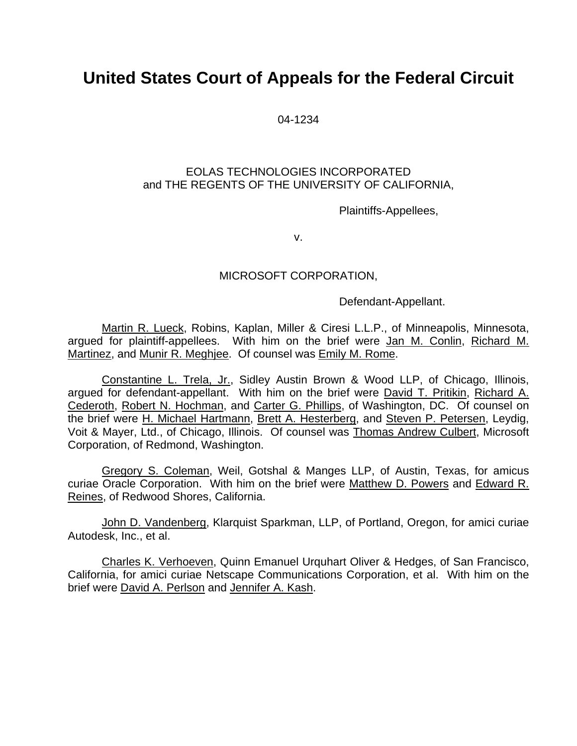# **United States Court of Appeals for the Federal Circuit**

04-1234

### EOLAS TECHNOLOGIES INCORPORATED and THE REGENTS OF THE UNIVERSITY OF CALIFORNIA,

Plaintiffs-Appellees,

v.

## MICROSOFT CORPORATION,

Defendant-Appellant.

Martin R. Lueck, Robins, Kaplan, Miller & Ciresi L.L.P., of Minneapolis, Minnesota, argued for plaintiff-appellees. With him on the brief were Jan M. Conlin, Richard M. Martinez, and Munir R. Meghjee. Of counsel was Emily M. Rome.

Constantine L. Trela, Jr., Sidley Austin Brown & Wood LLP, of Chicago, Illinois, argued for defendant-appellant. With him on the brief were David T. Pritikin, Richard A. Cederoth, Robert N. Hochman, and Carter G. Phillips, of Washington, DC. Of counsel on the brief were H. Michael Hartmann, Brett A. Hesterberg, and Steven P. Petersen, Leydig, Voit & Mayer, Ltd., of Chicago, Illinois. Of counsel was Thomas Andrew Culbert, Microsoft Corporation, of Redmond, Washington.

Gregory S. Coleman, Weil, Gotshal & Manges LLP, of Austin, Texas, for amicus curiae Oracle Corporation. With him on the brief were Matthew D. Powers and Edward R. Reines, of Redwood Shores, California.

John D. Vandenberg, Klarquist Sparkman, LLP, of Portland, Oregon, for amici curiae Autodesk, Inc., et al.

Charles K. Verhoeven, Quinn Emanuel Urquhart Oliver & Hedges, of San Francisco, California, for amici curiae Netscape Communications Corporation, et al. With him on the brief were David A. Perlson and Jennifer A. Kash.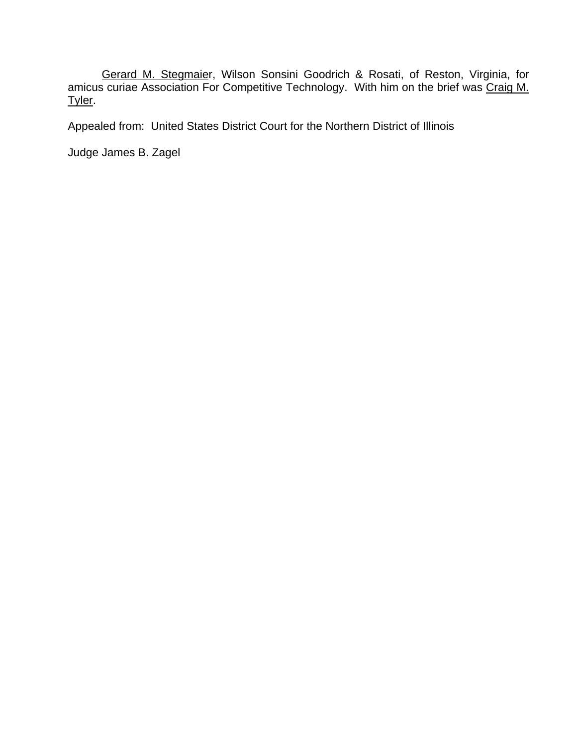Gerard M. Stegmaier, Wilson Sonsini Goodrich & Rosati, of Reston, Virginia, for amicus curiae Association For Competitive Technology. With him on the brief was Craig M. Tyler.

Appealed from: United States District Court for the Northern District of Illinois

Judge James B. Zagel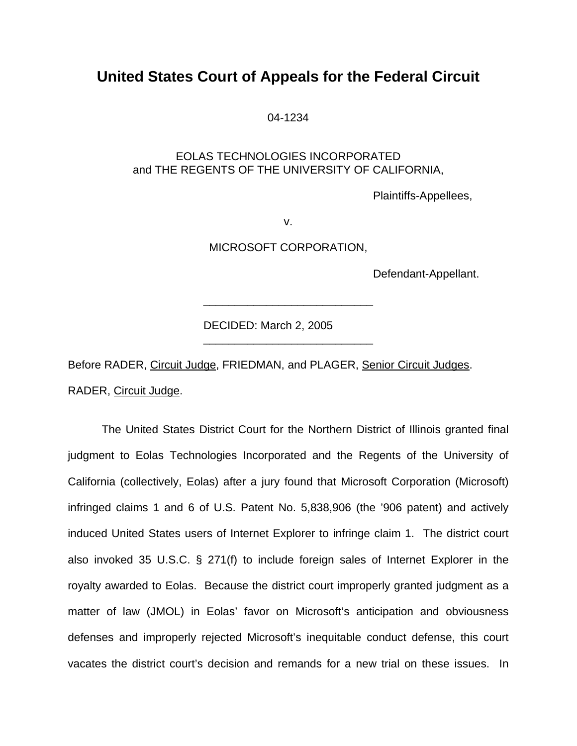## **United States Court of Appeals for the Federal Circuit**

04-1234

### EOLAS TECHNOLOGIES INCORPORATED and THE REGENTS OF THE UNIVERSITY OF CALIFORNIA,

Plaintiffs-Appellees,

v.

MICROSOFT CORPORATION,

\_\_\_\_\_\_\_\_\_\_\_\_\_\_\_\_\_\_\_\_\_\_\_\_\_\_\_

\_\_\_\_\_\_\_\_\_\_\_\_\_\_\_\_\_\_\_\_\_\_\_\_\_\_\_

Defendant-Appellant.

DECIDED: March 2, 2005

Before RADER, Circuit Judge, FRIEDMAN, and PLAGER, Senior Circuit Judges. RADER, Circuit Judge.

The United States District Court for the Northern District of Illinois granted final judgment to Eolas Technologies Incorporated and the Regents of the University of California (collectively, Eolas) after a jury found that Microsoft Corporation (Microsoft) infringed claims 1 and 6 of U.S. Patent No. 5,838,906 (the '906 patent) and actively induced United States users of Internet Explorer to infringe claim 1. The district court also invoked 35 U.S.C. § 271(f) to include foreign sales of Internet Explorer in the royalty awarded to Eolas. Because the district court improperly granted judgment as a matter of law (JMOL) in Eolas' favor on Microsoft's anticipation and obviousness defenses and improperly rejected Microsoft's inequitable conduct defense, this court vacates the district court's decision and remands for a new trial on these issues. In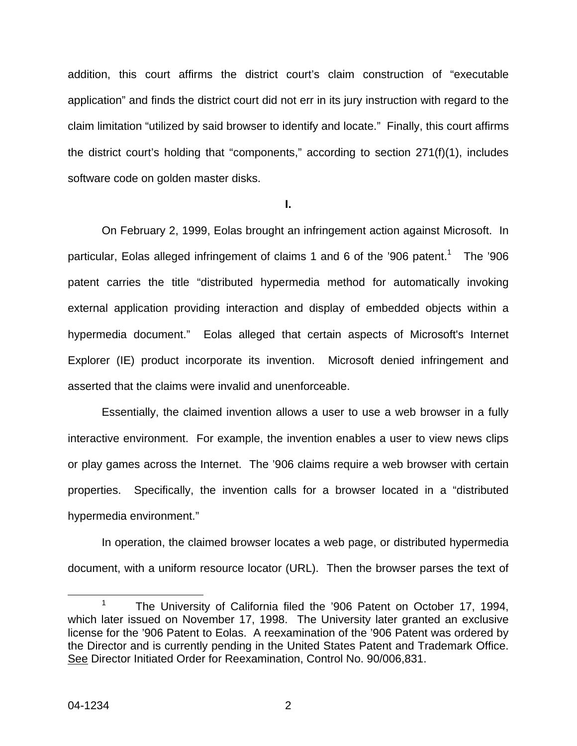addition, this court affirms the district court's claim construction of "executable application" and finds the district court did not err in its jury instruction with regard to the claim limitation "utilized by said browser to identify and locate." Finally, this court affirms the district court's holding that "components," according to section 271(f)(1), includes software code on golden master disks.

**I.** 

On February 2, 1999, Eolas brought an infringement action against Microsoft. In particular, Eolas alleged infringement of claims [1](#page-3-0) and 6 of the '906 patent.<sup>1</sup> The '906 patent carries the title "distributed hypermedia method for automatically invoking external application providing interaction and display of embedded objects within a hypermedia document." Eolas alleged that certain aspects of Microsoft's Internet Explorer (IE) product incorporate its invention. Microsoft denied infringement and asserted that the claims were invalid and unenforceable.

Essentially, the claimed invention allows a user to use a web browser in a fully interactive environment. For example, the invention enables a user to view news clips or play games across the Internet. The '906 claims require a web browser with certain properties. Specifically, the invention calls for a browser located in a "distributed hypermedia environment."

In operation, the claimed browser locates a web page, or distributed hypermedia document, with a uniform resource locator (URL). Then the browser parses the text of

<span id="page-3-0"></span><sup>&</sup>lt;sup>1</sup> The University of California filed the '906 Patent on October 17, 1994, which later issued on November 17, 1998. The University later granted an exclusive license for the '906 Patent to Eolas. A reexamination of the '906 Patent was ordered by the Director and is currently pending in the United States Patent and Trademark Office. See Director Initiated Order for Reexamination, Control No. 90/006,831.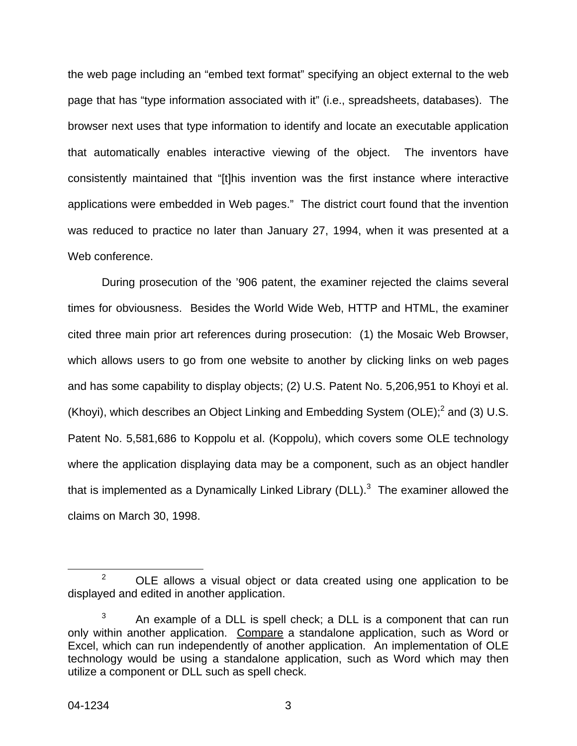the web page including an "embed text format" specifying an object external to the web page that has "type information associated with it" (i.e., spreadsheets, databases). The browser next uses that type information to identify and locate an executable application that automatically enables interactive viewing of the object. The inventors have consistently maintained that "[t]his invention was the first instance where interactive applications were embedded in Web pages." The district court found that the invention was reduced to practice no later than January 27, 1994, when it was presented at a Web conference.

During prosecution of the '906 patent, the examiner rejected the claims several times for obviousness. Besides the World Wide Web, HTTP and HTML, the examiner cited three main prior art references during prosecution: (1) the Mosaic Web Browser, which allows users to go from one website to another by clicking links on web pages and has some capability to display objects; (2) U.S. Patent No. 5,206,951 to Khoyi et al. (Khoyi), which describes an Object Linking and Embedding System (OLE); $^2$  $^2$  and (3) U.S. Patent No. 5,581,686 to Koppolu et al. (Koppolu), which covers some OLE technology where the application displaying data may be a component, such as an object handler that is implemented as a Dynamically Linked Library (DLL). $^3$  $^3$  The examiner allowed the claims on March 30, 1998.

<span id="page-4-0"></span> <sup>2</sup> OLE allows a visual object or data created using one application to be displayed and edited in another application.

<span id="page-4-1"></span> $3$  An example of a DLL is spell check; a DLL is a component that can run only within another application. Compare a standalone application, such as Word or Excel, which can run independently of another application. An implementation of OLE technology would be using a standalone application, such as Word which may then utilize a component or DLL such as spell check.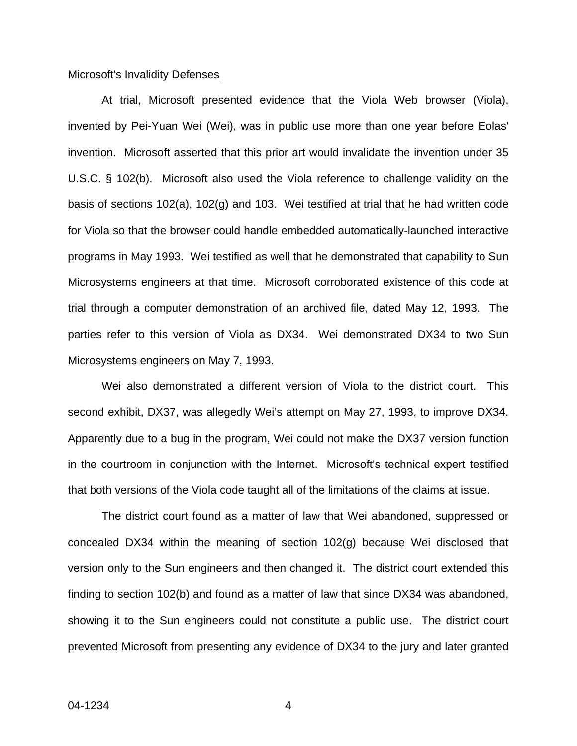#### Microsoft's Invalidity Defenses

At trial, Microsoft presented evidence that the Viola Web browser (Viola), invented by Pei-Yuan Wei (Wei), was in public use more than one year before Eolas' invention. Microsoft asserted that this prior art would invalidate the invention under 35 U.S.C. § 102(b). Microsoft also used the Viola reference to challenge validity on the basis of sections 102(a), 102(g) and 103. Wei testified at trial that he had written code for Viola so that the browser could handle embedded automatically-launched interactive programs in May 1993. Wei testified as well that he demonstrated that capability to Sun Microsystems engineers at that time. Microsoft corroborated existence of this code at trial through a computer demonstration of an archived file, dated May 12, 1993. The parties refer to this version of Viola as DX34. Wei demonstrated DX34 to two Sun Microsystems engineers on May 7, 1993.

Wei also demonstrated a different version of Viola to the district court. This second exhibit, DX37, was allegedly Wei's attempt on May 27, 1993, to improve DX34. Apparently due to a bug in the program, Wei could not make the DX37 version function in the courtroom in conjunction with the Internet. Microsoft's technical expert testified that both versions of the Viola code taught all of the limitations of the claims at issue.

The district court found as a matter of law that Wei abandoned, suppressed or concealed DX34 within the meaning of section 102(g) because Wei disclosed that version only to the Sun engineers and then changed it. The district court extended this finding to section 102(b) and found as a matter of law that since DX34 was abandoned, showing it to the Sun engineers could not constitute a public use. The district court prevented Microsoft from presenting any evidence of DX34 to the jury and later granted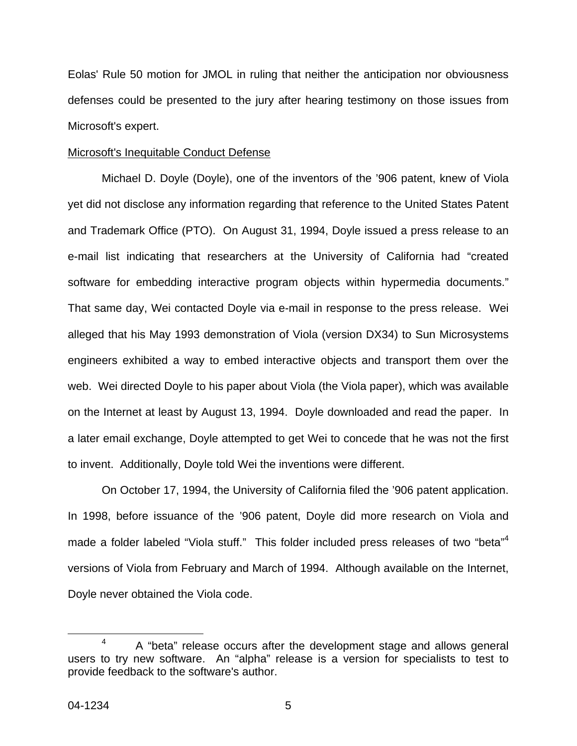Eolas' Rule 50 motion for JMOL in ruling that neither the anticipation nor obviousness defenses could be presented to the jury after hearing testimony on those issues from Microsoft's expert.

#### Microsoft's Inequitable Conduct Defense

Michael D. Doyle (Doyle), one of the inventors of the '906 patent, knew of Viola yet did not disclose any information regarding that reference to the United States Patent and Trademark Office (PTO). On August 31, 1994, Doyle issued a press release to an e-mail list indicating that researchers at the University of California had "created software for embedding interactive program objects within hypermedia documents." That same day, Wei contacted Doyle via e-mail in response to the press release. Wei alleged that his May 1993 demonstration of Viola (version DX34) to Sun Microsystems engineers exhibited a way to embed interactive objects and transport them over the web. Wei directed Doyle to his paper about Viola (the Viola paper), which was available on the Internet at least by August 13, 1994. Doyle downloaded and read the paper. In a later email exchange, Doyle attempted to get Wei to concede that he was not the first to invent. Additionally, Doyle told Wei the inventions were different.

On October 17, 1994, the University of California filed the '906 patent application. In 1998, before issuance of the '906 patent, Doyle did more research on Viola and made a folder labeled "Viola stuff." This folder included press releases of two "beta"<sup>[4](#page-6-0)</sup> versions of Viola from February and March of 1994. Although available on the Internet, Doyle never obtained the Viola code.

<span id="page-6-0"></span> $4$  A "beta" release occurs after the development stage and allows general users to try new software. An "alpha" release is a version for specialists to test to provide feedback to the software's author.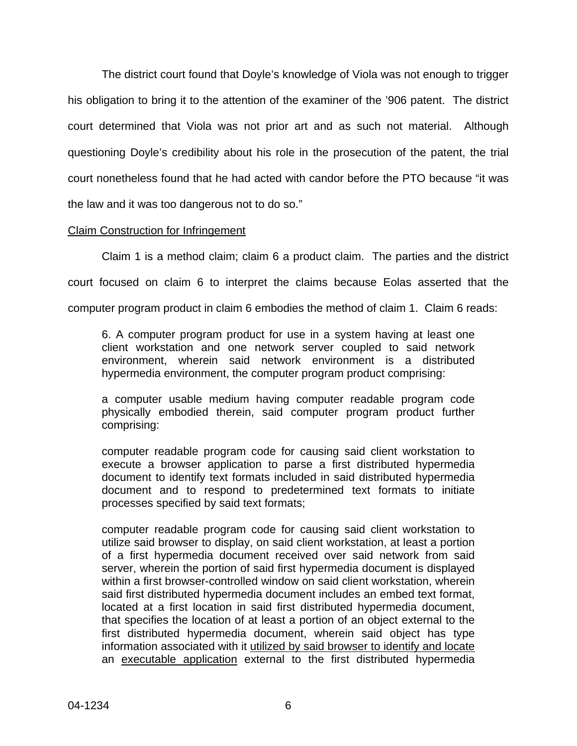The district court found that Doyle's knowledge of Viola was not enough to trigger his obligation to bring it to the attention of the examiner of the '906 patent. The district court determined that Viola was not prior art and as such not material. Although questioning Doyle's credibility about his role in the prosecution of the patent, the trial court nonetheless found that he had acted with candor before the PTO because "it was the law and it was too dangerous not to do so."

#### Claim Construction for Infringement

Claim 1 is a method claim; claim 6 a product claim. The parties and the district

court focused on claim 6 to interpret the claims because Eolas asserted that the

computer program product in claim 6 embodies the method of claim 1. Claim 6 reads:

6. A computer program product for use in a system having at least one client workstation and one network server coupled to said network environment, wherein said network environment is a distributed hypermedia environment, the computer program product comprising:

a computer usable medium having computer readable program code physically embodied therein, said computer program product further comprising:

computer readable program code for causing said client workstation to execute a browser application to parse a first distributed hypermedia document to identify text formats included in said distributed hypermedia document and to respond to predetermined text formats to initiate processes specified by said text formats;

computer readable program code for causing said client workstation to utilize said browser to display, on said client workstation, at least a portion of a first hypermedia document received over said network from said server, wherein the portion of said first hypermedia document is displayed within a first browser-controlled window on said client workstation, wherein said first distributed hypermedia document includes an embed text format, located at a first location in said first distributed hypermedia document, that specifies the location of at least a portion of an object external to the first distributed hypermedia document, wherein said object has type information associated with it utilized by said browser to identify and locate an executable application external to the first distributed hypermedia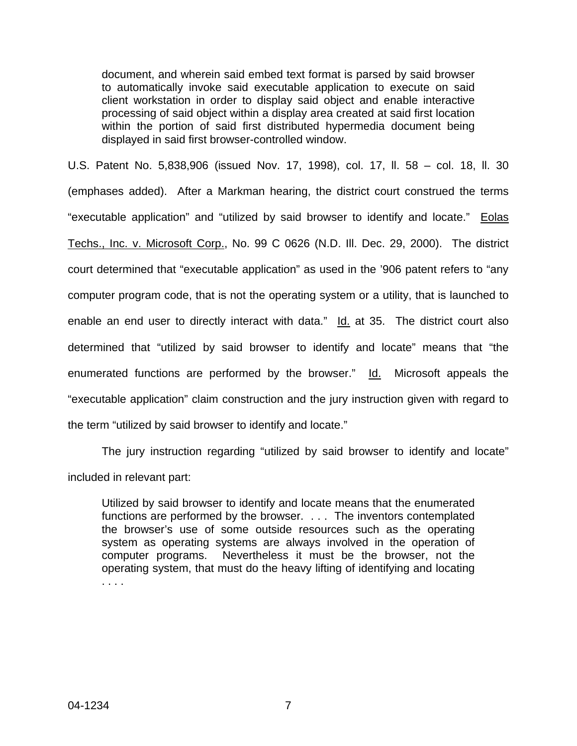document, and wherein said embed text format is parsed by said browser to automatically invoke said executable application to execute on said client workstation in order to display said object and enable interactive processing of said object within a display area created at said first location within the portion of said first distributed hypermedia document being displayed in said first browser-controlled window.

U.S. Patent No. 5,838,906 (issued Nov. 17, 1998), col. 17, ll. 58 – col. 18, ll. 30 (emphases added). After a Markman hearing, the district court construed the terms "executable application" and "utilized by said browser to identify and locate." Eolas Techs., Inc. v. Microsoft Corp., No. 99 C 0626 (N.D. Ill. Dec. 29, 2000). The district court determined that "executable application" as used in the '906 patent refers to "any computer program code, that is not the operating system or a utility, that is launched to enable an end user to directly interact with data." Id. at 35. The district court also determined that "utilized by said browser to identify and locate" means that "the enumerated functions are performed by the browser." Id. Microsoft appeals the "executable application" claim construction and the jury instruction given with regard to the term "utilized by said browser to identify and locate."

The jury instruction regarding "utilized by said browser to identify and locate" included in relevant part:

Utilized by said browser to identify and locate means that the enumerated functions are performed by the browser. . . . The inventors contemplated the browser's use of some outside resources such as the operating system as operating systems are always involved in the operation of computer programs. Nevertheless it must be the browser, not the operating system, that must do the heavy lifting of identifying and locating . . . .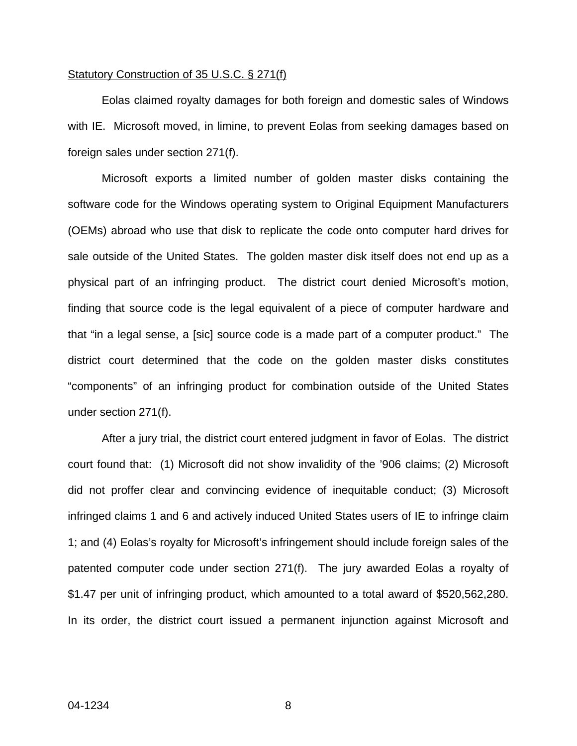#### Statutory Construction of 35 U.S.C. § 271(f)

Eolas claimed royalty damages for both foreign and domestic sales of Windows with IE. Microsoft moved, in limine, to prevent Eolas from seeking damages based on foreign sales under section 271(f).

Microsoft exports a limited number of golden master disks containing the software code for the Windows operating system to Original Equipment Manufacturers (OEMs) abroad who use that disk to replicate the code onto computer hard drives for sale outside of the United States. The golden master disk itself does not end up as a physical part of an infringing product. The district court denied Microsoft's motion, finding that source code is the legal equivalent of a piece of computer hardware and that "in a legal sense, a [sic] source code is a made part of a computer product." The district court determined that the code on the golden master disks constitutes "components" of an infringing product for combination outside of the United States under section 271(f).

After a jury trial, the district court entered judgment in favor of Eolas. The district court found that: (1) Microsoft did not show invalidity of the '906 claims; (2) Microsoft did not proffer clear and convincing evidence of inequitable conduct; (3) Microsoft infringed claims 1 and 6 and actively induced United States users of IE to infringe claim 1; and (4) Eolas's royalty for Microsoft's infringement should include foreign sales of the patented computer code under section 271(f). The jury awarded Eolas a royalty of \$1.47 per unit of infringing product, which amounted to a total award of \$520,562,280. In its order, the district court issued a permanent injunction against Microsoft and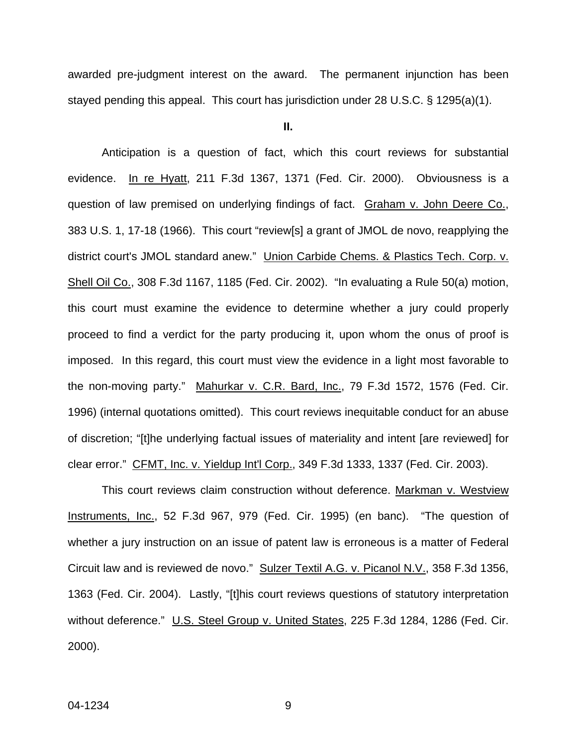awarded pre-judgment interest on the award. The permanent injunction has been stayed pending this appeal. This court has jurisdiction under 28 U.S.C. § 1295(a)(1).

**II.** 

Anticipation is a question of fact, which this court reviews for substantial evidence. In re Hyatt, 211 F.3d 1367, 1371 (Fed. Cir. 2000). Obviousness is a question of law premised on underlying findings of fact. Graham v. John Deere Co., 383 U.S. 1, 17-18 (1966). This court "review[s] a grant of JMOL de novo, reapplying the district court's JMOL standard anew." Union Carbide Chems. & Plastics Tech. Corp. v. Shell Oil Co., 308 F.3d 1167, 1185 (Fed. Cir. 2002). "In evaluating a Rule 50(a) motion, this court must examine the evidence to determine whether a jury could properly proceed to find a verdict for the party producing it, upon whom the onus of proof is imposed. In this regard, this court must view the evidence in a light most favorable to the non-moving party." Mahurkar v. C.R. Bard, Inc., 79 F.3d 1572, 1576 (Fed. Cir. 1996) (internal quotations omitted). This court reviews inequitable conduct for an abuse of discretion; "[t]he underlying factual issues of materiality and intent [are reviewed] for clear error." CFMT, Inc. v. Yieldup Int'l Corp., 349 F.3d 1333, 1337 (Fed. Cir. 2003).

This court reviews claim construction without deference. Markman v. Westview Instruments, Inc., 52 F.3d 967, 979 (Fed. Cir. 1995) (en banc). "The question of whether a jury instruction on an issue of patent law is erroneous is a matter of Federal Circuit law and is reviewed de novo." Sulzer Textil A.G. v. Picanol N.V., 358 F.3d 1356, 1363 (Fed. Cir. 2004). Lastly, "[t]his court reviews questions of statutory interpretation without deference." U.S. Steel Group v. United States, 225 F.3d 1284, 1286 (Fed. Cir. 2000).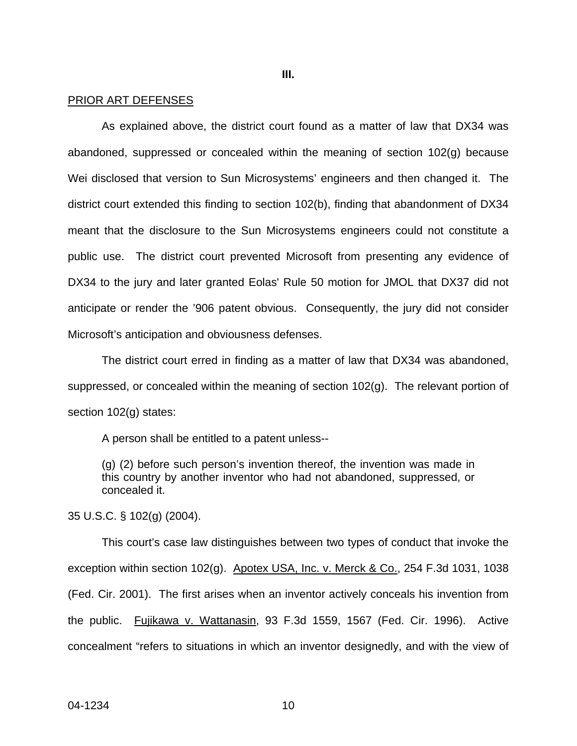**III.** 

#### PRIOR ART DEFENSES

As explained above, the district court found as a matter of law that DX34 was abandoned, suppressed or concealed within the meaning of section 102(g) because Wei disclosed that version to Sun Microsystems' engineers and then changed it. The district court extended this finding to section 102(b), finding that abandonment of DX34 meant that the disclosure to the Sun Microsystems engineers could not constitute a public use. The district court prevented Microsoft from presenting any evidence of DX34 to the jury and later granted Eolas' Rule 50 motion for JMOL that DX37 did not anticipate or render the '906 patent obvious. Consequently, the jury did not consider Microsoft's anticipation and obviousness defenses.

The district court erred in finding as a matter of law that DX34 was abandoned, suppressed, or concealed within the meaning of section 102(g). The relevant portion of section 102(g) states:

A person shall be entitled to a patent unless--

(g) (2) before such person's invention thereof, the invention was made in this country by another inventor who had not abandoned, suppressed, or concealed it.

35 U.S.C. § 102(g) (2004).

This court's case law distinguishes between two types of conduct that invoke the exception within section 102(g). Apotex USA, Inc. v. Merck & Co., 254 F.3d 1031, 1038 (Fed. Cir. 2001). The first arises when an inventor actively conceals his invention from the public. Fujikawa v. Wattanasin, 93 F.3d 1559, 1567 (Fed. Cir. 1996). Active concealment "refers to situations in which an inventor designedly, and with the view of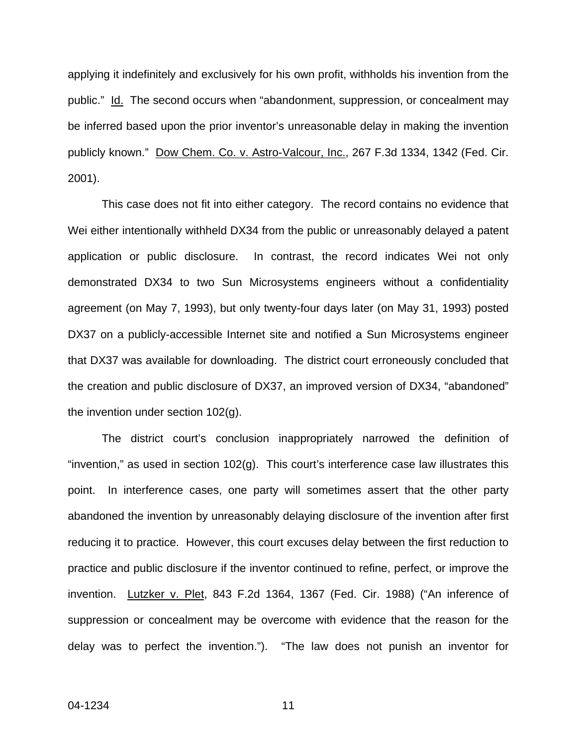applying it indefinitely and exclusively for his own profit, withholds his invention from the public." Id. The second occurs when "abandonment, suppression, or concealment may be inferred based upon the prior inventor's unreasonable delay in making the invention publicly known." Dow Chem. Co. v. Astro-Valcour, Inc., 267 F.3d 1334, 1342 (Fed. Cir. 2001).

This case does not fit into either category. The record contains no evidence that Wei either intentionally withheld DX34 from the public or unreasonably delayed a patent application or public disclosure. In contrast, the record indicates Wei not only demonstrated DX34 to two Sun Microsystems engineers without a confidentiality agreement (on May 7, 1993), but only twenty-four days later (on May 31, 1993) posted DX37 on a publicly-accessible Internet site and notified a Sun Microsystems engineer that DX37 was available for downloading. The district court erroneously concluded that the creation and public disclosure of DX37, an improved version of DX34, "abandoned" the invention under section 102(g).

The district court's conclusion inappropriately narrowed the definition of "invention," as used in section  $102(g)$ . This court's interference case law illustrates this point. In interference cases, one party will sometimes assert that the other party abandoned the invention by unreasonably delaying disclosure of the invention after first reducing it to practice. However, this court excuses delay between the first reduction to practice and public disclosure if the inventor continued to refine, perfect, or improve the invention. Lutzker v. Plet, 843 F.2d 1364, 1367 (Fed. Cir. 1988) ("An inference of suppression or concealment may be overcome with evidence that the reason for the delay was to perfect the invention."). "The law does not punish an inventor for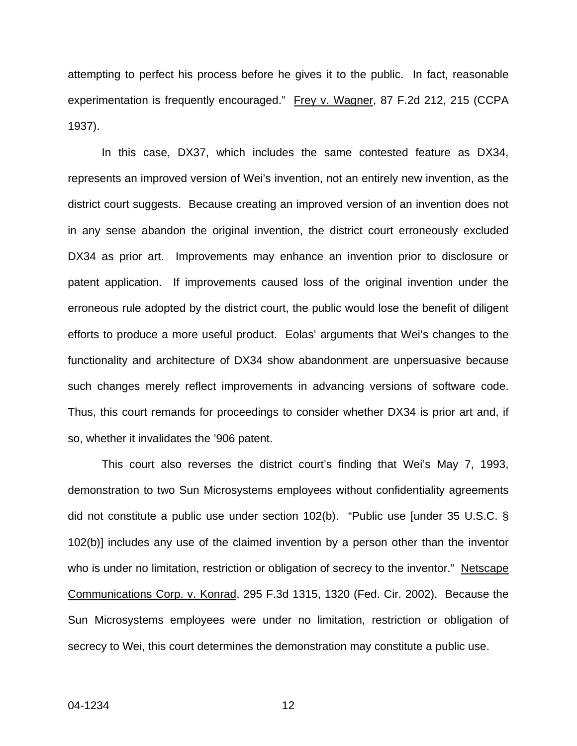attempting to perfect his process before he gives it to the public. In fact, reasonable experimentation is frequently encouraged." Frey v. Wagner, 87 F.2d 212, 215 (CCPA 1937).

In this case, DX37, which includes the same contested feature as DX34, represents an improved version of Wei's invention, not an entirely new invention, as the district court suggests. Because creating an improved version of an invention does not in any sense abandon the original invention, the district court erroneously excluded DX34 as prior art. Improvements may enhance an invention prior to disclosure or patent application. If improvements caused loss of the original invention under the erroneous rule adopted by the district court, the public would lose the benefit of diligent efforts to produce a more useful product. Eolas' arguments that Wei's changes to the functionality and architecture of DX34 show abandonment are unpersuasive because such changes merely reflect improvements in advancing versions of software code. Thus, this court remands for proceedings to consider whether DX34 is prior art and, if so, whether it invalidates the '906 patent.

This court also reverses the district court's finding that Wei's May 7, 1993, demonstration to two Sun Microsystems employees without confidentiality agreements did not constitute a public use under section 102(b). "Public use [under 35 U.S.C. § 102(b)] includes any use of the claimed invention by a person other than the inventor who is under no limitation, restriction or obligation of secrecy to the inventor." Netscape Communications Corp. v. Konrad, 295 F.3d 1315, 1320 (Fed. Cir. 2002). Because the Sun Microsystems employees were under no limitation, restriction or obligation of secrecy to Wei, this court determines the demonstration may constitute a public use.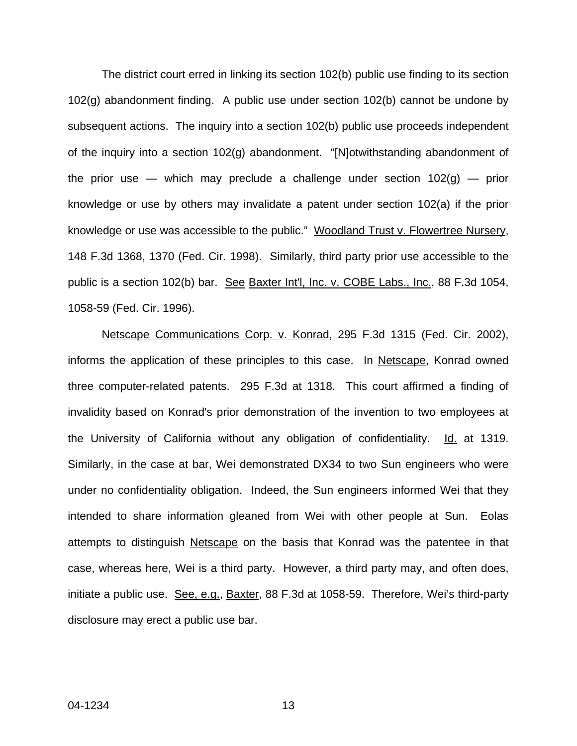The district court erred in linking its section 102(b) public use finding to its section 102(g) abandonment finding. A public use under section 102(b) cannot be undone by subsequent actions. The inquiry into a section 102(b) public use proceeds independent of the inquiry into a section 102(g) abandonment. "[N]otwithstanding abandonment of the prior use — which may preclude a challenge under section  $102(q)$  — prior knowledge or use by others may invalidate a patent under section 102(a) if the prior knowledge or use was accessible to the public." Woodland Trust v. Flowertree Nursery, 148 F.3d 1368, 1370 (Fed. Cir. 1998). Similarly, third party prior use accessible to the public is a section 102(b) bar. See Baxter Int'l, Inc. v. COBE Labs., Inc., 88 F.3d 1054, 1058-59 (Fed. Cir. 1996).

Netscape Communications Corp. v. Konrad, 295 F.3d 1315 (Fed. Cir. 2002), informs the application of these principles to this case. In Netscape, Konrad owned three computer-related patents. 295 F.3d at 1318. This court affirmed a finding of invalidity based on Konrad's prior demonstration of the invention to two employees at the University of California without any obligation of confidentiality. Id. at 1319. Similarly, in the case at bar, Wei demonstrated DX34 to two Sun engineers who were under no confidentiality obligation. Indeed, the Sun engineers informed Wei that they intended to share information gleaned from Wei with other people at Sun. Eolas attempts to distinguish Netscape on the basis that Konrad was the patentee in that case, whereas here, Wei is a third party. However, a third party may, and often does, initiate a public use. See, e.g., Baxter, 88 F.3d at 1058-59. Therefore, Wei's third-party disclosure may erect a public use bar.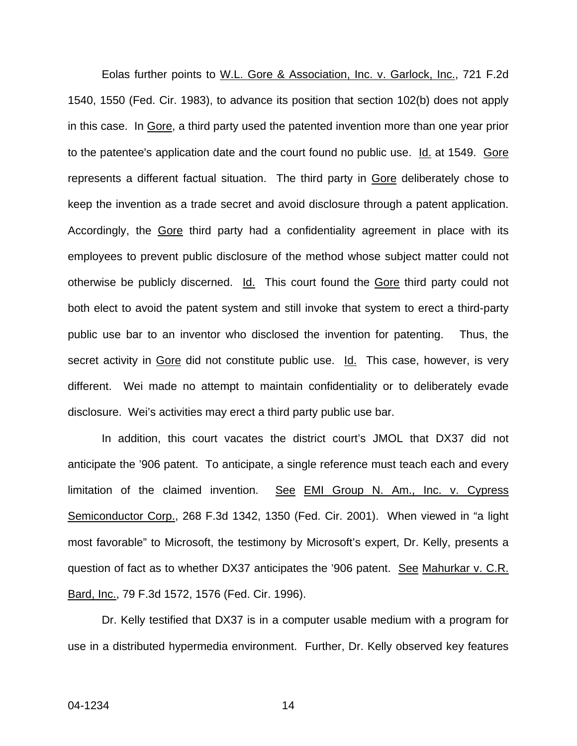Eolas further points to W.L. Gore & Association, Inc. v. Garlock, Inc., 721 F.2d 1540, 1550 (Fed. Cir. 1983), to advance its position that section 102(b) does not apply in this case. In Gore, a third party used the patented invention more than one year prior to the patentee's application date and the court found no public use.  $Id$  at 1549. Gore represents a different factual situation. The third party in Gore deliberately chose to keep the invention as a trade secret and avoid disclosure through a patent application. Accordingly, the Gore third party had a confidentiality agreement in place with its employees to prevent public disclosure of the method whose subject matter could not otherwise be publicly discerned. Id. This court found the Gore third party could not both elect to avoid the patent system and still invoke that system to erect a third-party public use bar to an inventor who disclosed the invention for patenting. Thus, the secret activity in Gore did not constitute public use. Id. This case, however, is very different. Wei made no attempt to maintain confidentiality or to deliberately evade disclosure. Wei's activities may erect a third party public use bar.

In addition, this court vacates the district court's JMOL that DX37 did not anticipate the '906 patent. To anticipate, a single reference must teach each and every limitation of the claimed invention. See EMI Group N. Am., Inc. v. Cypress Semiconductor Corp., 268 F.3d 1342, 1350 (Fed. Cir. 2001). When viewed in "a light most favorable" to Microsoft, the testimony by Microsoft's expert, Dr. Kelly, presents a question of fact as to whether DX37 anticipates the '906 patent. See Mahurkar v. C.R. Bard, Inc., 79 F.3d 1572, 1576 (Fed. Cir. 1996).

Dr. Kelly testified that DX37 is in a computer usable medium with a program for use in a distributed hypermedia environment. Further, Dr. Kelly observed key features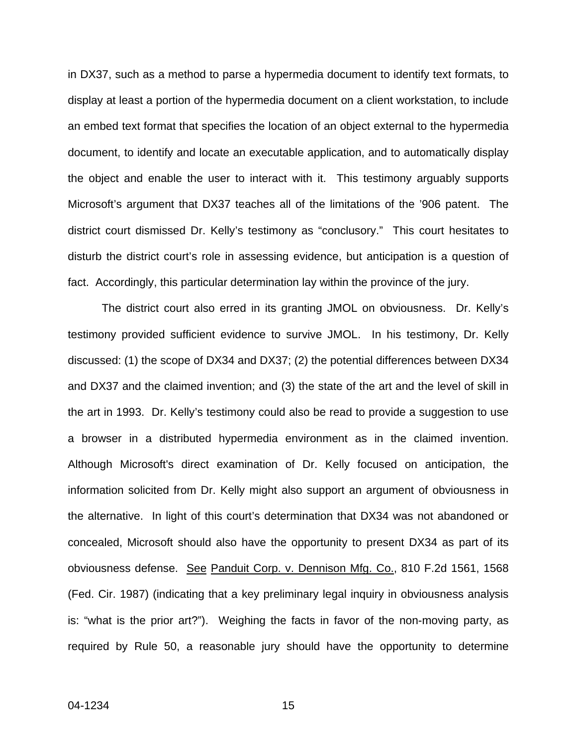in DX37, such as a method to parse a hypermedia document to identify text formats, to display at least a portion of the hypermedia document on a client workstation, to include an embed text format that specifies the location of an object external to the hypermedia document, to identify and locate an executable application, and to automatically display the object and enable the user to interact with it. This testimony arguably supports Microsoft's argument that DX37 teaches all of the limitations of the '906 patent. The district court dismissed Dr. Kelly's testimony as "conclusory." This court hesitates to disturb the district court's role in assessing evidence, but anticipation is a question of fact. Accordingly, this particular determination lay within the province of the jury.

The district court also erred in its granting JMOL on obviousness. Dr. Kelly's testimony provided sufficient evidence to survive JMOL. In his testimony, Dr. Kelly discussed: (1) the scope of DX34 and DX37; (2) the potential differences between DX34 and DX37 and the claimed invention; and (3) the state of the art and the level of skill in the art in 1993.Dr. Kelly's testimony could also be read to provide a suggestion to use a browser in a distributed hypermedia environment as in the claimed invention. Although Microsoft's direct examination of Dr. Kelly focused on anticipation, the information solicited from Dr. Kelly might also support an argument of obviousness in the alternative. In light of this court's determination that DX34 was not abandoned or concealed, Microsoft should also have the opportunity to present DX34 as part of its obviousness defense. See Panduit Corp. v. Dennison Mfg. Co., 810 F.2d 1561, 1568 (Fed. Cir. 1987) (indicating that a key preliminary legal inquiry in obviousness analysis is: "what is the prior art?"). Weighing the facts in favor of the non-moving party, as required by Rule 50, a reasonable jury should have the opportunity to determine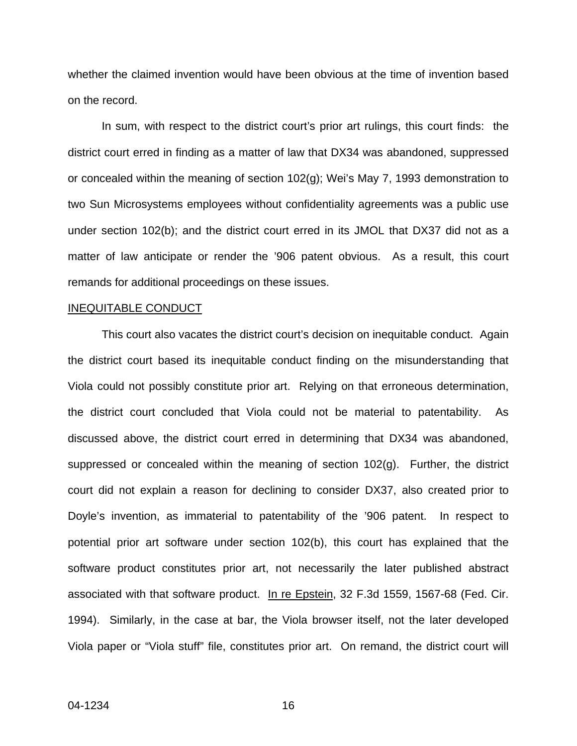whether the claimed invention would have been obvious at the time of invention based on the record.

In sum, with respect to the district court's prior art rulings, this court finds: the district court erred in finding as a matter of law that DX34 was abandoned, suppressed or concealed within the meaning of section 102(g); Wei's May 7, 1993 demonstration to two Sun Microsystems employees without confidentiality agreements was a public use under section 102(b); and the district court erred in its JMOL that DX37 did not as a matter of law anticipate or render the '906 patent obvious. As a result, this court remands for additional proceedings on these issues.

#### INEQUITABLE CONDUCT

This court also vacates the district court's decision on inequitable conduct. Again the district court based its inequitable conduct finding on the misunderstanding that Viola could not possibly constitute prior art. Relying on that erroneous determination, the district court concluded that Viola could not be material to patentability. As discussed above, the district court erred in determining that DX34 was abandoned, suppressed or concealed within the meaning of section 102(g). Further, the district court did not explain a reason for declining to consider DX37, also created prior to Doyle's invention, as immaterial to patentability of the '906 patent. In respect to potential prior art software under section 102(b), this court has explained that the software product constitutes prior art, not necessarily the later published abstract associated with that software product. In re Epstein, 32 F.3d 1559, 1567-68 (Fed. Cir. 1994). Similarly, in the case at bar, the Viola browser itself, not the later developed Viola paper or "Viola stuff" file, constitutes prior art. On remand, the district court will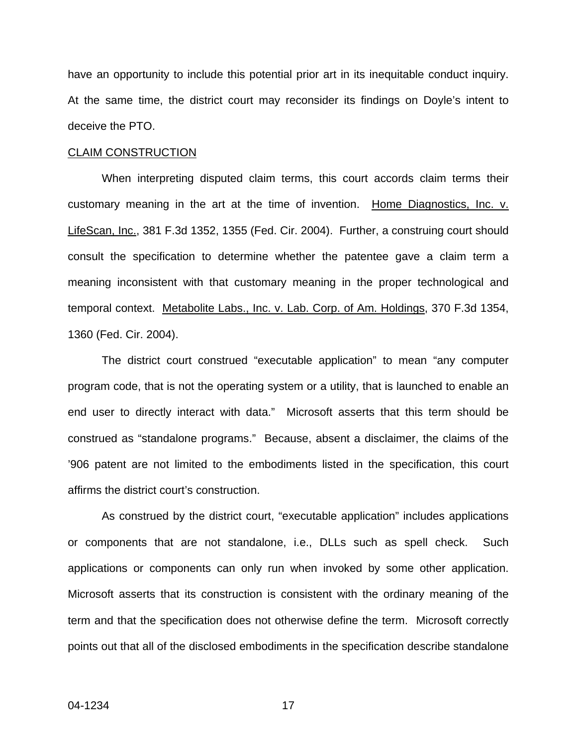have an opportunity to include this potential prior art in its inequitable conduct inquiry. At the same time, the district court may reconsider its findings on Doyle's intent to deceive the PTO.

#### CLAIM CONSTRUCTION

When interpreting disputed claim terms, this court accords claim terms their customary meaning in the art at the time of invention. Home Diagnostics, Inc. v. LifeScan, Inc., 381 F.3d 1352, 1355 (Fed. Cir. 2004). Further, a construing court should consult the specification to determine whether the patentee gave a claim term a meaning inconsistent with that customary meaning in the proper technological and temporal context. Metabolite Labs., Inc. v. Lab. Corp. of Am. Holdings, 370 F.3d 1354, 1360 (Fed. Cir. 2004).

The district court construed "executable application" to mean "any computer program code, that is not the operating system or a utility, that is launched to enable an end user to directly interact with data." Microsoft asserts that this term should be construed as "standalone programs." Because, absent a disclaimer, the claims of the '906 patent are not limited to the embodiments listed in the specification, this court affirms the district court's construction.

As construed by the district court, "executable application" includes applications or components that are not standalone, i.e., DLLs such as spell check. Such applications or components can only run when invoked by some other application. Microsoft asserts that its construction is consistent with the ordinary meaning of the term and that the specification does not otherwise define the term. Microsoft correctly points out that all of the disclosed embodiments in the specification describe standalone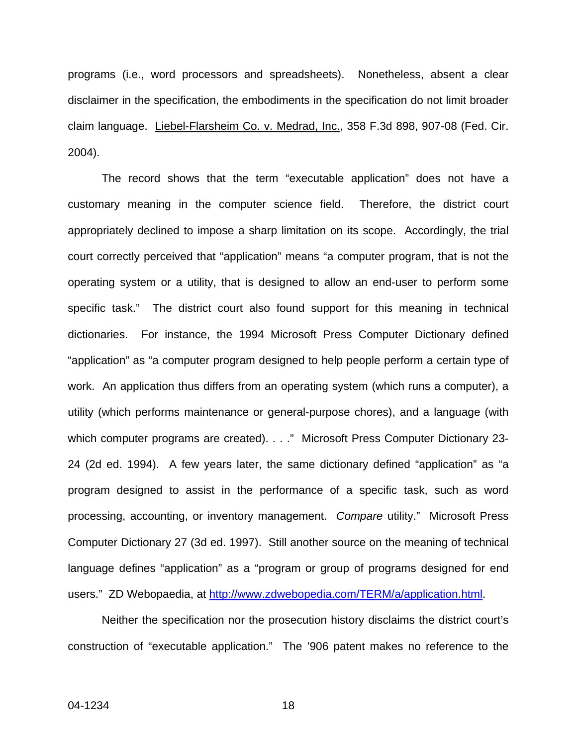programs (i.e., word processors and spreadsheets). Nonetheless, absent a clear disclaimer in the specification, the embodiments in the specification do not limit broader claim language. Liebel-Flarsheim Co. v. Medrad, Inc., 358 F.3d 898, 907-08 (Fed. Cir. 2004).

The record shows that the term "executable application" does not have a customary meaning in the computer science field. Therefore, the district court appropriately declined to impose a sharp limitation on its scope. Accordingly, the trial court correctly perceived that "application" means "a computer program, that is not the operating system or a utility, that is designed to allow an end-user to perform some specific task." The district court also found support for this meaning in technical dictionaries. For instance, the 1994 Microsoft Press Computer Dictionary defined "application" as "a computer program designed to help people perform a certain type of work. An application thus differs from an operating system (which runs a computer), a utility (which performs maintenance or general-purpose chores), and a language (with which computer programs are created). . . ." Microsoft Press Computer Dictionary 23-24 (2d ed. 1994). A few years later, the same dictionary defined "application" as "a program designed to assist in the performance of a specific task, such as word processing, accounting, or inventory management. *Compare* utility." Microsoft Press Computer Dictionary 27 (3d ed. 1997). Still another source on the meaning of technical language defines "application" as a "program or group of programs designed for end users." ZD Webopaedia, at [http://www.zdwebopedia.com/TERM/a/application.html](http://www.zdwebopedia.com/TERM/a/ application.html).

Neither the specification nor the prosecution history disclaims the district court's construction of "executable application." The '906 patent makes no reference to the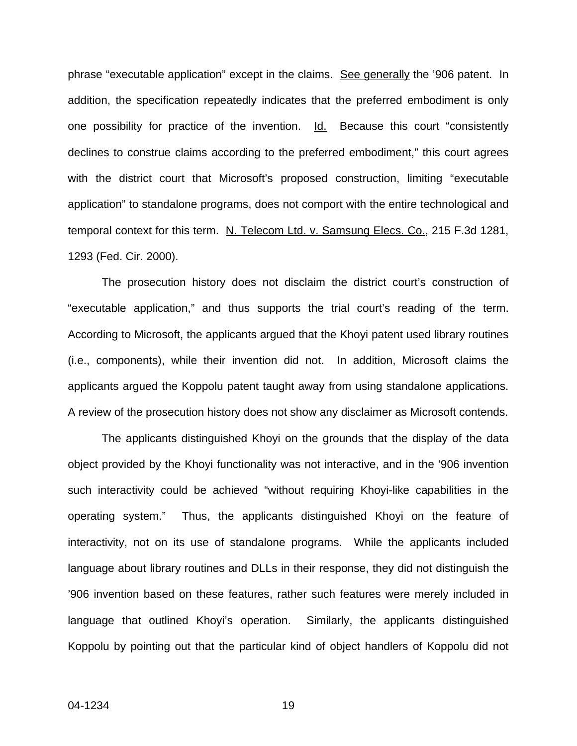phrase "executable application" except in the claims. See generally the '906 patent. In addition, the specification repeatedly indicates that the preferred embodiment is only one possibility for practice of the invention. Id. Because this court "consistently declines to construe claims according to the preferred embodiment," this court agrees with the district court that Microsoft's proposed construction, limiting "executable application" to standalone programs, does not comport with the entire technological and temporal context for this term. N. Telecom Ltd. v. Samsung Elecs. Co., 215 F.3d 1281, 1293 (Fed. Cir. 2000).

The prosecution history does not disclaim the district court's construction of "executable application," and thus supports the trial court's reading of the term. According to Microsoft, the applicants argued that the Khoyi patent used library routines (i.e., components), while their invention did not. In addition, Microsoft claims the applicants argued the Koppolu patent taught away from using standalone applications. A review of the prosecution history does not show any disclaimer as Microsoft contends.

The applicants distinguished Khoyi on the grounds that the display of the data object provided by the Khoyi functionality was not interactive, and in the '906 invention such interactivity could be achieved "without requiring Khoyi-like capabilities in the operating system." Thus, the applicants distinguished Khoyi on the feature of interactivity, not on its use of standalone programs. While the applicants included language about library routines and DLLs in their response, they did not distinguish the '906 invention based on these features, rather such features were merely included in language that outlined Khoyi's operation. Similarly, the applicants distinguished Koppolu by pointing out that the particular kind of object handlers of Koppolu did not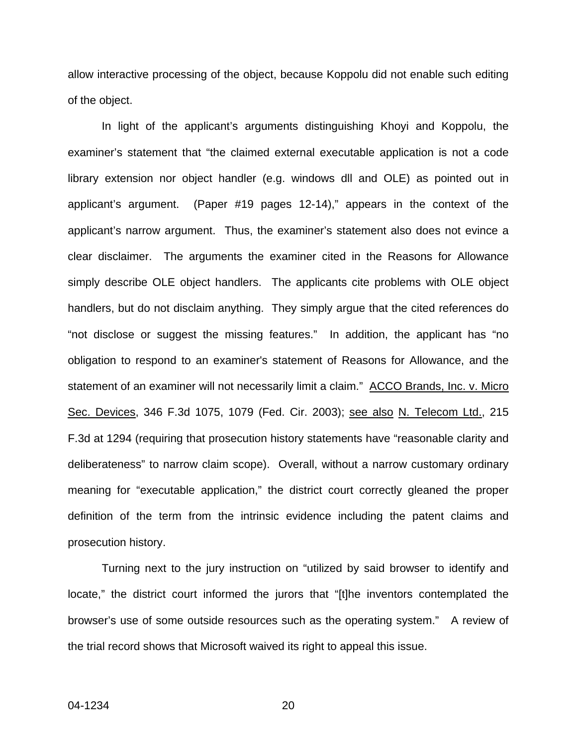allow interactive processing of the object, because Koppolu did not enable such editing of the object.

In light of the applicant's arguments distinguishing Khoyi and Koppolu, the examiner's statement that "the claimed external executable application is not a code library extension nor object handler (e.g. windows dll and OLE) as pointed out in applicant's argument. (Paper #19 pages 12-14)," appears in the context of the applicant's narrow argument. Thus, the examiner's statement also does not evince a clear disclaimer. The arguments the examiner cited in the Reasons for Allowance simply describe OLE object handlers. The applicants cite problems with OLE object handlers, but do not disclaim anything. They simply argue that the cited references do "not disclose or suggest the missing features." In addition, the applicant has "no obligation to respond to an examiner's statement of Reasons for Allowance, and the statement of an examiner will not necessarily limit a claim." ACCO Brands, Inc. v. Micro Sec. Devices, 346 F.3d 1075, 1079 (Fed. Cir. 2003); see also N. Telecom Ltd., 215 F.3d at 1294 (requiring that prosecution history statements have "reasonable clarity and deliberateness" to narrow claim scope). Overall, without a narrow customary ordinary meaning for "executable application," the district court correctly gleaned the proper definition of the term from the intrinsic evidence including the patent claims and prosecution history.

Turning next to the jury instruction on "utilized by said browser to identify and locate," the district court informed the jurors that "[t]he inventors contemplated the browser's use of some outside resources such as the operating system." A review of the trial record shows that Microsoft waived its right to appeal this issue.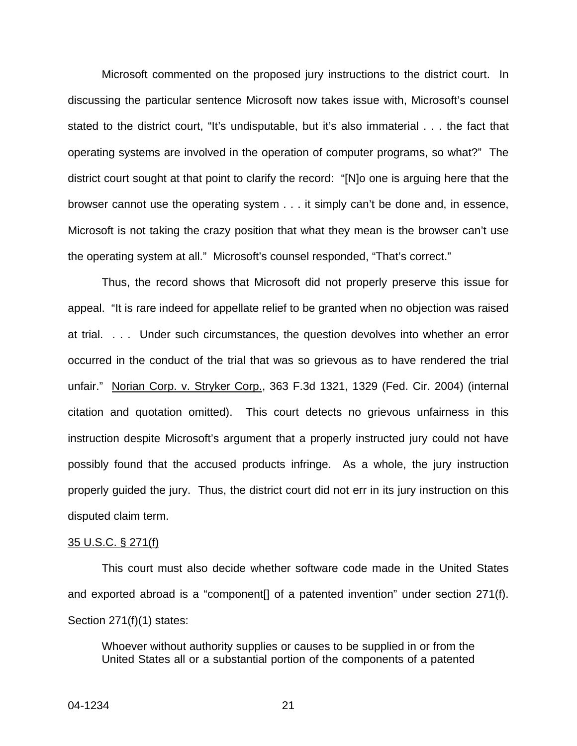Microsoft commented on the proposed jury instructions to the district court. In discussing the particular sentence Microsoft now takes issue with, Microsoft's counsel stated to the district court, "It's undisputable, but it's also immaterial . . . the fact that operating systems are involved in the operation of computer programs, so what?" The district court sought at that point to clarify the record: "[N]o one is arguing here that the browser cannot use the operating system . . . it simply can't be done and, in essence, Microsoft is not taking the crazy position that what they mean is the browser can't use the operating system at all." Microsoft's counsel responded, "That's correct."

Thus, the record shows that Microsoft did not properly preserve this issue for appeal. "It is rare indeed for appellate relief to be granted when no objection was raised at trial. . . . Under such circumstances, the question devolves into whether an error occurred in the conduct of the trial that was so grievous as to have rendered the trial unfair." Norian Corp. v. Stryker Corp., 363 F.3d 1321, 1329 (Fed. Cir. 2004) (internal citation and quotation omitted). This court detects no grievous unfairness in this instruction despite Microsoft's argument that a properly instructed jury could not have possibly found that the accused products infringe. As a whole, the jury instruction properly guided the jury. Thus, the district court did not err in its jury instruction on this disputed claim term.

#### 35 U.S.C. § 271(f)

This court must also decide whether software code made in the United States and exported abroad is a "component[] of a patented invention" under section 271(f). Section 271(f)(1) states:

Whoever without authority supplies or causes to be supplied in or from the United States all or a substantial portion of the components of a patented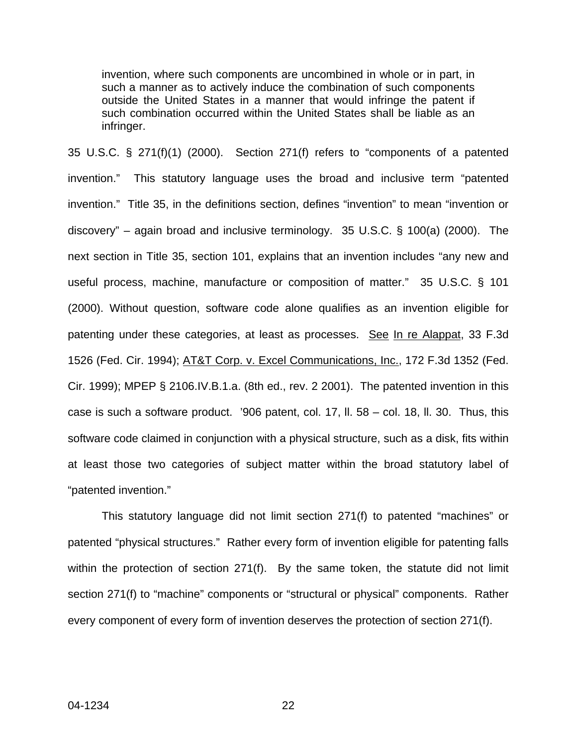invention, where such components are uncombined in whole or in part, in such a manner as to actively induce the combination of such components outside the United States in a manner that would infringe the patent if such combination occurred within the United States shall be liable as an infringer.

35 U.S.C. § 271(f)(1) (2000). Section 271(f) refers to "components of a patented invention." This statutory language uses the broad and inclusive term "patented invention." Title 35, in the definitions section, defines "invention" to mean "invention or discovery" – again broad and inclusive terminology. 35 U.S.C. § 100(a) (2000). The next section in Title 35, section 101, explains that an invention includes "any new and useful process, machine, manufacture or composition of matter." 35 U.S.C. § 101 (2000). Without question, software code alone qualifies as an invention eligible for patenting under these categories, at least as processes. See In re Alappat, 33 F.3d 1526 (Fed. Cir. 1994); AT&T Corp. v. Excel Communications, Inc., 172 F.3d 1352 (Fed. Cir. 1999); MPEP § 2106.IV.B.1.a. (8th ed., rev. 2 2001). The patented invention in this case is such a software product. '906 patent, col. 17, ll. 58 – col. 18, ll. 30. Thus, this software code claimed in conjunction with a physical structure, such as a disk, fits within at least those two categories of subject matter within the broad statutory label of "patented invention."

This statutory language did not limit section 271(f) to patented "machines" or patented "physical structures." Rather every form of invention eligible for patenting falls within the protection of section 271(f). By the same token, the statute did not limit section 271(f) to "machine" components or "structural or physical" components. Rather every component of every form of invention deserves the protection of section 271(f).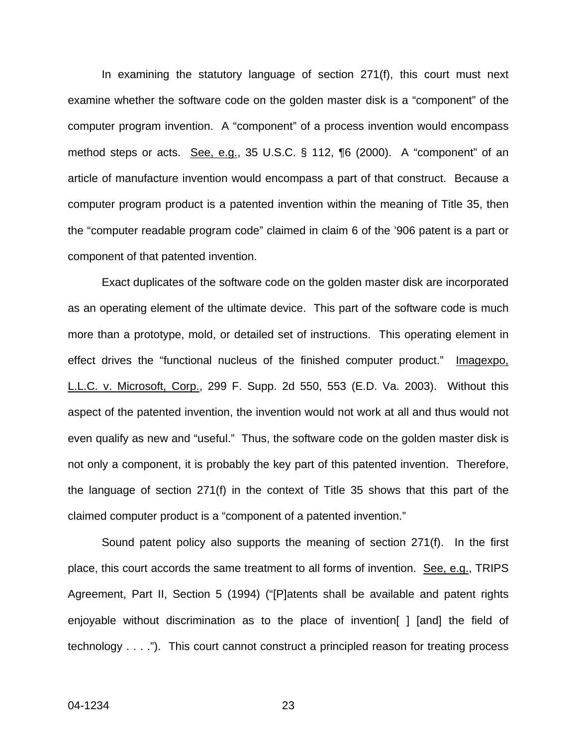In examining the statutory language of section 271(f), this court must next examine whether the software code on the golden master disk is a "component" of the computer program invention. A "component" of a process invention would encompass method steps or acts. See, e.g., 35 U.S.C. § 112, ¶6 (2000). A "component" of an article of manufacture invention would encompass a part of that construct. Because a computer program product is a patented invention within the meaning of Title 35, then the "computer readable program code" claimed in claim 6 of the '906 patent is a part or component of that patented invention.

Exact duplicates of the software code on the golden master disk are incorporated as an operating element of the ultimate device. This part of the software code is much more than a prototype, mold, or detailed set of instructions. This operating element in effect drives the "functional nucleus of the finished computer product." Imagexpo, L.L.C. v. Microsoft, Corp., 299 F. Supp. 2d 550, 553 (E.D. Va. 2003). Without this aspect of the patented invention, the invention would not work at all and thus would not even qualify as new and "useful." Thus, the software code on the golden master disk is not only a component, it is probably the key part of this patented invention. Therefore, the language of section 271(f) in the context of Title 35 shows that this part of the claimed computer product is a "component of a patented invention."

Sound patent policy also supports the meaning of section 271(f). In the first place, this court accords the same treatment to all forms of invention. See, e.g., TRIPS Agreement, Part II, Section 5 (1994) ("[P]atents shall be available and patent rights enjoyable without discrimination as to the place of invention[ ] [and] the field of technology . . . ."). This court cannot construct a principled reason for treating process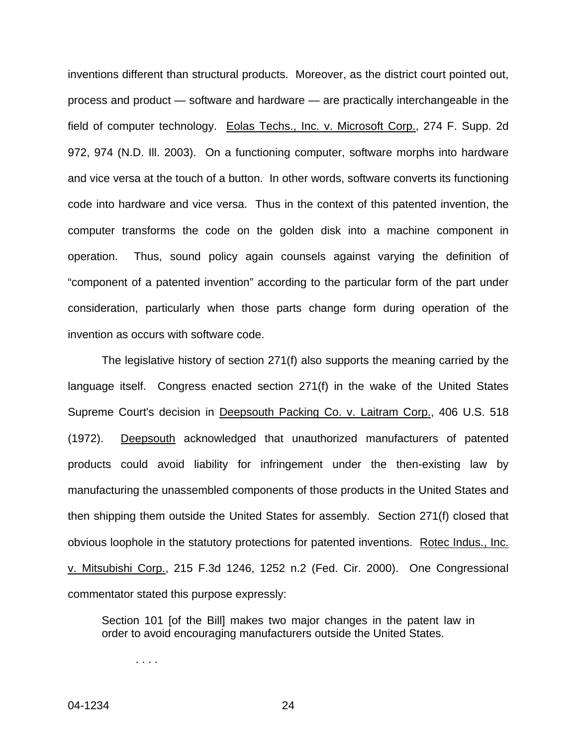inventions different than structural products. Moreover, as the district court pointed out, process and product — software and hardware — are practically interchangeable in the field of computer technology. Eolas Techs., Inc. v. Microsoft Corp., 274 F. Supp. 2d 972, 974 (N.D. Ill. 2003). On a functioning computer, software morphs into hardware and vice versa at the touch of a button. In other words, software converts its functioning code into hardware and vice versa. Thus in the context of this patented invention, the computer transforms the code on the golden disk into a machine component in operation. Thus, sound policy again counsels against varying the definition of "component of a patented invention" according to the particular form of the part under consideration, particularly when those parts change form during operation of the invention as occurs with software code.

The legislative history of section 271(f) also supports the meaning carried by the language itself. Congress enacted section 271(f) in the wake of the United States Supreme Court's decision in Deepsouth Packing Co. v. Laitram Corp., 406 U.S. 518 (1972). Deepsouth acknowledged that unauthorized manufacturers of patented products could avoid liability for infringement under the then-existing law by manufacturing the unassembled components of those products in the United States and then shipping them outside the United States for assembly. Section 271(f) closed that obvious loophole in the statutory protections for patented inventions. Rotec Indus., Inc. v. Mitsubishi Corp., 215 F.3d 1246, 1252 n.2 (Fed. Cir. 2000). One Congressional commentator stated this purpose expressly:

Section 101 [of the Bill] makes two major changes in the patent law in order to avoid encouraging manufacturers outside the United States.

. . . .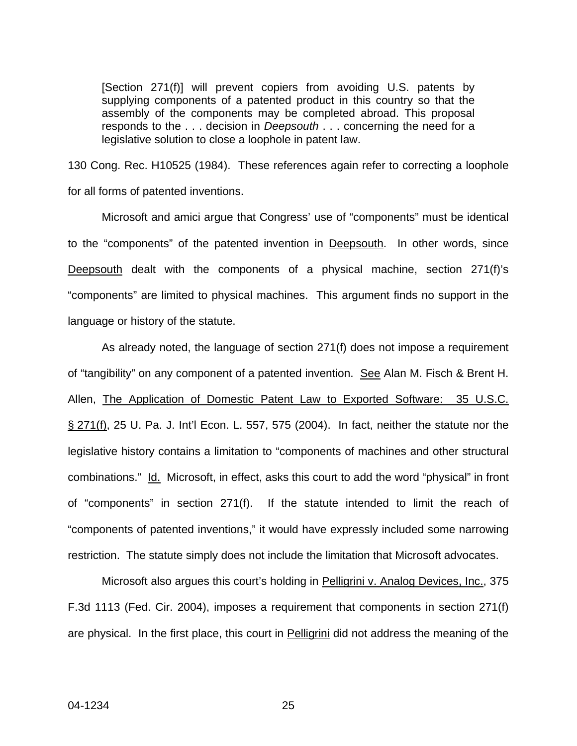[Section 271(f)] will prevent copiers from avoiding U.S. patents by supplying components of a patented product in this country so that the assembly of the components may be completed abroad. This proposal responds to the . . . decision in *Deepsouth* . . . concerning the need for a legislative solution to close a loophole in patent law.

130 Cong. Rec. H10525 (1984). These references again refer to correcting a loophole for all forms of patented inventions.

Microsoft and amici argue that Congress' use of "components" must be identical to the "components" of the patented invention in Deepsouth. In other words, since Deepsouth dealt with the components of a physical machine, section 271(f)'s "components" are limited to physical machines. This argument finds no support in the language or history of the statute.

As already noted, the language of section 271(f) does not impose a requirement of "tangibility" on any component of a patented invention. See Alan M. Fisch & Brent H. Allen, The Application of Domestic Patent Law to Exported Software: 35 U.S.C. § 271(f), 25 U. Pa. J. Int'l Econ. L. 557, 575 (2004). In fact, neither the statute nor the legislative history contains a limitation to "components of machines and other structural combinations." Id. Microsoft, in effect, asks this court to add the word "physical" in front of "components" in section 271(f). If the statute intended to limit the reach of "components of patented inventions," it would have expressly included some narrowing restriction. The statute simply does not include the limitation that Microsoft advocates.

Microsoft also argues this court's holding in Pelligrini v. Analog Devices, Inc., 375 F.3d 1113 (Fed. Cir. 2004), imposes a requirement that components in section 271(f) are physical. In the first place, this court in Pelligrini did not address the meaning of the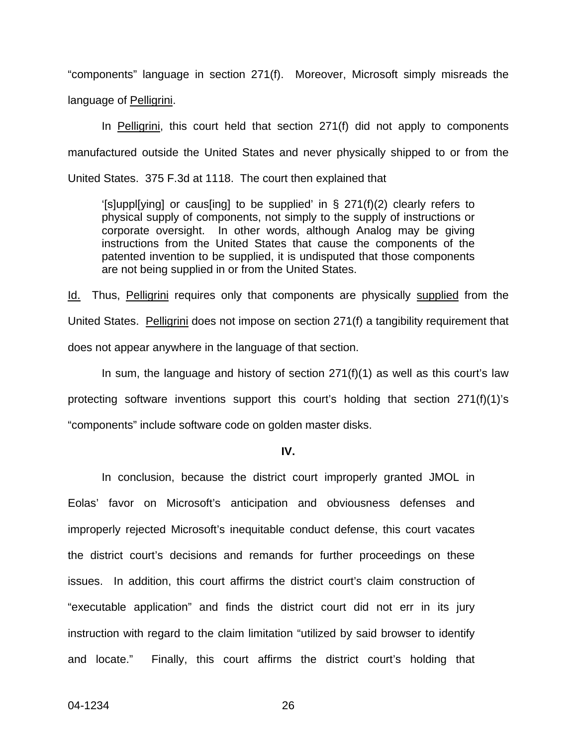"components" language in section 271(f). Moreover, Microsoft simply misreads the language of Pelligrini.

 In Pelligrini, this court held that section 271(f) did not apply to components manufactured outside the United States and never physically shipped to or from the United States. 375 F.3d at 1118. The court then explained that

'[s]uppl[ying] or caus[ing] to be supplied' in § 271(f)(2) clearly refers to physical supply of components, not simply to the supply of instructions or corporate oversight. In other words, although Analog may be giving instructions from the United States that cause the components of the patented invention to be supplied, it is undisputed that those components are not being supplied in or from the United States.

Id. Thus, Pelligrini requires only that components are physically supplied from the United States. Pelligrini does not impose on section 271(f) a tangibility requirement that does not appear anywhere in the language of that section.

In sum, the language and history of section 271(f)(1) as well as this court's law protecting software inventions support this court's holding that section 271(f)(1)'s "components" include software code on golden master disks.

**IV.** 

In conclusion, because the district court improperly granted JMOL in Eolas' favor on Microsoft's anticipation and obviousness defenses and improperly rejected Microsoft's inequitable conduct defense, this court vacates the district court's decisions and remands for further proceedings on these issues. In addition, this court affirms the district court's claim construction of "executable application" and finds the district court did not err in its jury instruction with regard to the claim limitation "utilized by said browser to identify and locate." Finally, this court affirms the district court's holding that